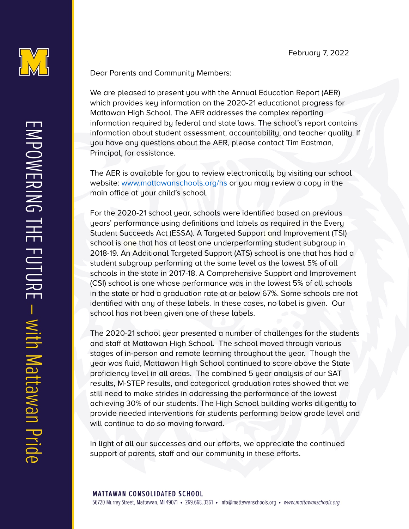

Dear Parents and Community Members:

We are pleased to present you with the Annual Education Report (AER) which provides key information on the 2020-21 educational progress for Mattawan High School. The AER addresses the complex reporting information required by federal and state laws. The school's report contains information about student assessment, accountability, and teacher quality. If you have any questions about the AER, please contact Tim Eastman, Principal, for assistance.

The AER is available for you to review electronically by visiting our school website: [www.mattawanschools.org/hs](http://www.mattawanschools.org/hs) or you may review a copy in the main office at your child's school.

For the 2020-21 school year, schools were identified based on previous years' performance using definitions and labels as required in the Every Student Succeeds Act (ESSA). A Targeted Support and Improvement (TSI) school is one that has at least one underperforming student subgroup in 2018-19. An Additional Targeted Support (ATS) school is one that has had a student subgroup performing at the same level as the lowest 5% of all schools in the state in 2017-18. A Comprehensive Support and Improvement (CSI) school is one whose performance was in the lowest 5% of all schools in the state or had a graduation rate at or below 67%. Some schools are not identified with any of these labels. In these cases, no label is given. Our school has not been given one of these labels.

The 2020-21 school year presented a number of challenges for the students and staff at Mattawan High School. The school moved through various stages of in-person and remote learning throughout the year. Though the year was fluid, Mattawan High School continued to score above the State proficiency level in all areas. The combined 5 year analysis of our SAT results, M-STEP results, and categorical graduation rates showed that we still need to make strides in addressing the performance of the lowest achieving 30% of our students. The High School building works diligently to provide needed interventions for students performing below grade level and will continue to do so moving forward.

In light of all our successes and our efforts, we appreciate the continued support of parents, staff and our community in these efforts.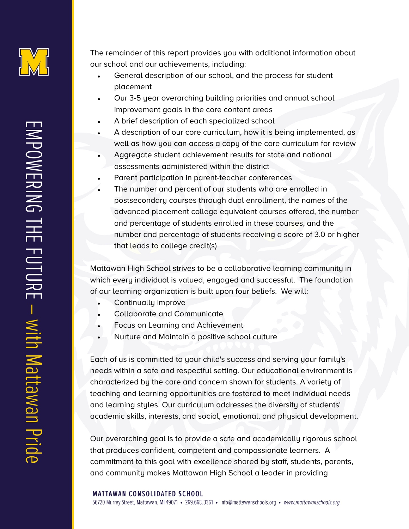

The remainder of this report provides you with additional information about our school and our achievements, including:

- General description of our school, and the process for student placement
- Our 3-5 year overarching building priorities and annual school improvement goals in the core content areas
- A brief description of each specialized school
- A description of our core curriculum, how it is being implemented, as well as how you can access a copy of the core curriculum for review
- Aggregate student achievement results for state and national assessments administered within the district
- Parent participation in parent-teacher conferences
- The number and percent of our students who are enrolled in postsecondary courses through dual enrollment, the names of the advanced placement college equivalent courses offered, the number and percentage of students enrolled in these courses, and the number and percentage of students receiving a score of 3.0 or higher that leads to college credit(s)

Mattawan High School strives to be a collaborative learning community in which every individual is valued, engaged and successful. The foundation of our learning organization is built upon four beliefs. We will:

- Continually improve
- Collaborate and Communicate
- Focus on Learning and Achievement
- Nurture and Maintain a positive school culture

Each of us is committed to your child's success and serving your family's needs within a safe and respectful setting. Our educational environment is characterized by the care and concern shown for students. A variety of teaching and learning opportunities are fostered to meet individual needs and learning styles. Our curriculum addresses the diversity of students' academic skills, interests, and social, emotional, and physical development.

Our overarching goal is to provide a safe and academically rigorous school that produces confident, competent and compassionate learners. A commitment to this goal with excellence shared by staff, students, parents, and community makes Mattawan High School a leader in providing

### **MATTAWAN CONSOLIDATED SCHOOL**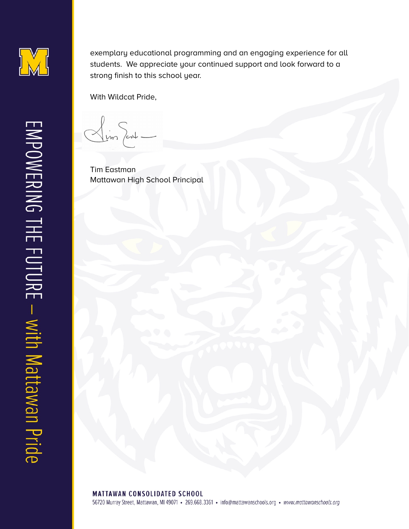

exemplary educational programming and an engaging experience for all students. We appreciate your continued support and look forward to a strong finish to this school year.

With Wildcat Pride,

 $\frac{1}{2}$  im fort -

Tim Eastman Mattawan High School Principal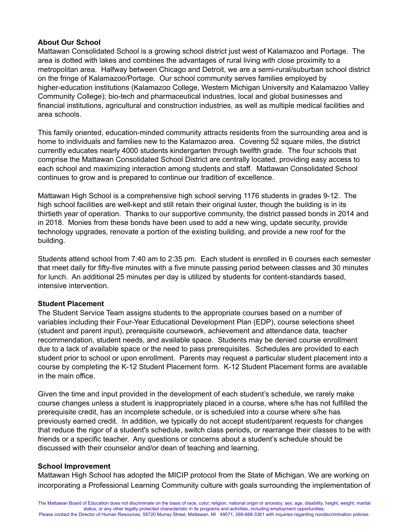## **About Our School**

Mattawan Consolidated School is a growing school district just west of Kalamazoo and Portage. The area is dotted with lakes and combines the advantages of rural living with close proximity to a metropolitan area. Halfway between Chicago and Detroit, we are a semi-rural/suburban school district on the fringe of Kalamazoo/Portage. Our school community serves families employed by higher-education institutions (Kalamazoo College, Western Michigan University and Kalamazoo Valley Community College); bio-tech and pharmaceutical industries, local and global businesses and financial institutions, agricultural and construction industries, as well as multiple medical facilities and area schools.

This family oriented, education-minded community attracts residents from the surrounding area and is home to individuals and families new to the Kalamazoo area. Covering 52 square miles, the district currently educates nearly 4000 students kindergarten through twelfth grade. The four schools that comprise the Mattawan Consolidated School District are centrally located, providing easy access to each school and maximizing interaction among students and staff. Mattawan Consolidated School continues to grow and is prepared to continue our tradition of excellence.

Mattawan High School is a comprehensive high school serving 1176 students in grades 9-12. The high school facilities are well-kept and still retain their original luster, though the building is in its thirtieth year of operation. Thanks to our supportive community, the district passed bonds in 2014 and in 2018. Monies from these bonds have been used to add a new wing, update security, provide technology upgrades, renovate a portion of the existing building, and provide a new roof for the building.

Students attend school from 7:40 am to 2:35 pm. Each student is enrolled in 6 courses each semester that meet daily for fifty-five minutes with a five minute passing period between classes and 30 minutes for lunch. An additional 25 minutes per day is utilized by students for content-standards based, intensive intervention.

### **Student Placement**

The Student Service Team assigns students to the appropriate courses based on a number of variables including their Four-Year Educational Development Plan (EDP), course selections sheet (student and parent input), prerequisite coursework, achievement and attendance data, teacher recommendation, student needs, and available space. Students may be denied course enrollment due to a lack of available space or the need to pass prerequisites. Schedules are provided to each student prior to school or upon enrollment. Parents may request a particular student placement into a course by completing the K-12 Student Placement form. K-12 Student Placement forms are available in the main office.

Given the time and input provided in the development of each student's schedule, we rarely make course changes unless a student is inappropriately placed in a course, where s/he has not fulfilled the prerequisite credit, has an incomplete schedule, or is scheduled into a course where s/he has previously earned credit. In addition, we typically do not accept student/parent requests for changes that reduce the rigor of a student's schedule, switch class periods, or rearrange their classes to be with friends or a specific teacher. Any questions or concerns about a student's schedule should be discussed with their counselor and/or dean of teaching and learning.

# **School Improvement**

Mattawan High School has adopted the MICIP protocol from the State of Michigan. We are working on incorporating a Professional Learning Community culture with goals surrounding the implementation of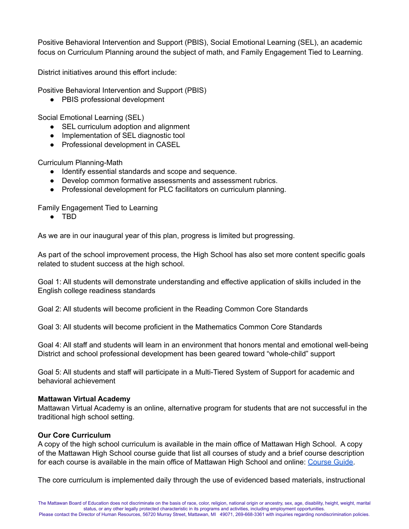Positive Behavioral Intervention and Support (PBIS), Social Emotional Learning (SEL), an academic focus on Curriculum Planning around the subject of math, and Family Engagement Tied to Learning.

District initiatives around this effort include:

Positive Behavioral Intervention and Support (PBIS)

● PBIS professional development

Social Emotional Learning (SEL)

- SEL curriculum adoption and alignment
- Implementation of SEL diagnostic tool
- Professional development in CASEL

Curriculum Planning-Math

- Identify essential standards and scope and sequence.
- Develop common formative assessments and assessment rubrics.
- Professional development for PLC facilitators on curriculum planning.

Family Engagement Tied to Learning

● TBD

As we are in our inaugural year of this plan, progress is limited but progressing.

As part of the school improvement process, the High School has also set more content specific goals related to student success at the high school.

Goal 1: All students will demonstrate understanding and effective application of skills included in the English college readiness standards

Goal 2: All students will become proficient in the Reading Common Core Standards

Goal 3: All students will become proficient in the Mathematics Common Core Standards

Goal 4: All staff and students will learn in an environment that honors mental and emotional well-being District and school professional development has been geared toward "whole-child" support

Goal 5: All students and staff will participate in a Multi-Tiered System of Support for academic and behavioral achievement

### **Mattawan Virtual Academy**

Mattawan Virtual Academy is an online, alternative program for students that are not successful in the traditional high school setting.

### **Our Core Curriculum**

A copy of the high school curriculum is available in the main office of Mattawan High School. A copy of the Mattawan High School course guide that list all courses of study and a brief course description for each course is available in the main office of Mattawan High School and online: [Course](https://drive.google.com/file/d/1ExZce0bhewkeW1Upd8Q7eABVBrKjBEG7/view?usp=sharing) Guide.

The core curriculum is implemented daily through the use of evidenced based materials, instructional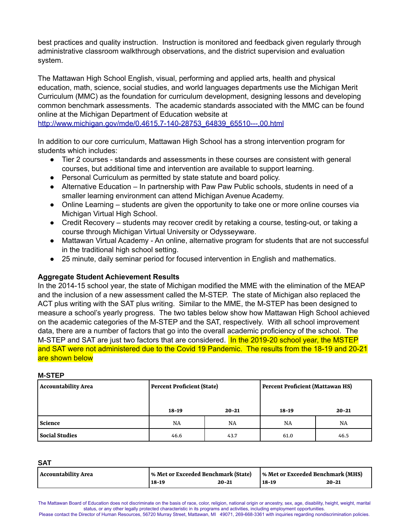best practices and quality instruction. Instruction is monitored and feedback given regularly through administrative classroom walkthrough observations, and the district supervision and evaluation system.

The Mattawan High School English, visual, performing and applied arts, health and physical education, math, science, social studies, and world languages departments use the Michigan Merit Curriculum (MMC) as the foundation for curriculum development, designing lessons and developing common benchmark assessments. The academic standards associated with the MMC can be found online at the Michigan Department of Education website at

[http://www.michigan.gov/mde/0,4615,7-140-28753\\_64839\\_65510---,00.html](http://www.michigan.gov/mde/0,1607,7-140-38924---,00.html)

In addition to our core curriculum, Mattawan High School has a strong intervention program for students which includes:

- Tier 2 courses standards and assessments in these courses are consistent with general courses, but additional time and intervention are available to support learning.
- Personal Curriculum as permitted by state statute and board policy.
- Alternative Education In partnership with Paw Paw Public schools, students in need of a smaller learning environment can attend Michigan Avenue Academy.
- Online Learning students are given the opportunity to take one or more online courses via Michigan Virtual High School.
- Credit Recovery students may recover credit by retaking a course, testing-out, or taking a course through Michigan Virtual University or Odysseyware.
- Mattawan Virtual Academy An online, alternative program for students that are not successful in the traditional high school setting.
- 25 minute, daily seminar period for focused intervention in English and mathematics.

### **Aggregate Student Achievement Results**

In the 2014-15 school year, the state of Michigan modified the MME with the elimination of the MEAP and the inclusion of a new assessment called the M-STEP. The state of Michigan also replaced the ACT plus writing with the SAT plus writing. Similar to the MME, the M-STEP has been designed to measure a school's yearly progress. The two tables below show how Mattawan High School achieved on the academic categories of the M-STEP and the SAT, respectively. With all school improvement data, there are a number of factors that go into the overall academic proficiency of the school. The M-STEP and SAT are just two factors that are considered. In the 2019-20 school year, the MSTEP and SAT were not administered due to the Covid 19 Pandemic. The results from the 18-19 and 20-21 are shown below

#### **M-STEP**

| <b>Accountability Area</b> | Percent Proficient (State) |           | Percent Proficient (Mattawan HS) |           |
|----------------------------|----------------------------|-----------|----------------------------------|-----------|
|                            | $18 - 19$                  | $20 - 21$ | 18-19                            | $20 - 21$ |
| <b>Science</b>             | <b>NA</b>                  | NA        | NA                               | NA        |
| <b>Social Studies</b>      | 46.6                       | 43.7      | 61.0                             | 46.5      |

**SAT**

| Accountability Area | % Met or Exceeded Benchmark (State) |           | % Met or Exceeded Benchmark (MHS) |           |
|---------------------|-------------------------------------|-----------|-----------------------------------|-----------|
|                     | $18-19$                             | $20 - 21$ | 18-19                             | $20 - 21$ |

The Mattawan Board of Education does not discriminate on the basis of race, color, religion, national origin or ancestry, sex, age, disability, height, weight, marital status, or any other legally protected characteristic in its programs and activities, including employment opportunities. Please contact the Director of Human Resources, 56720 Murray Street, Mattawan, MI 49071, 269-668-3361 with inquiries regarding nondiscrimination policies.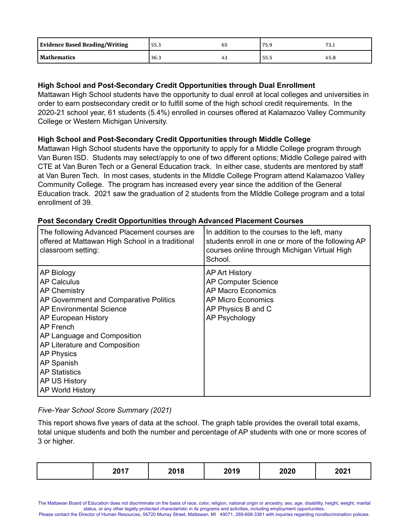| <b>Evidence Based Reading/Writing</b> | 55.3 | 75.9 | ـ    |
|---------------------------------------|------|------|------|
| Mathematics                           | 36.3 | 55.5 | 45.8 |

# **High School and Post-Secondary Credit Opportunities through Dual Enrollment**

Mattawan High School students have the opportunity to dual enroll at local colleges and universities in order to earn postsecondary credit or to fulfill some of the high school credit requirements. In the 2020-21 school year, 61 students (5.4%) enrolled in courses offered at Kalamazoo Valley Community College or Western Michigan University.

# **High School and Post-Secondary Credit Opportunities through Middle College**

Mattawan High School students have the opportunity to apply for a Middle College program through Van Buren ISD. Students may select/apply to one of two different options; Middle College paired with CTE at Van Buren Tech or a General Education track. In either case, students are mentored by staff at Van Buren Tech. In most cases, students in the MIddle College Program attend Kalamazoo Valley Community College. The program has increased every year since the addition of the General Education track. 2021 saw the graduation of 2 students from the MIddle College program and a total enrollment of 39.

| The following Advanced Placement courses are<br>offered at Mattawan High School in a traditional<br>classroom setting:                                                                                                                                                                                                                          | In addition to the courses to the left, many<br>students enroll in one or more of the following AP<br>courses online through Michigan Virtual High<br>School. |
|-------------------------------------------------------------------------------------------------------------------------------------------------------------------------------------------------------------------------------------------------------------------------------------------------------------------------------------------------|---------------------------------------------------------------------------------------------------------------------------------------------------------------|
| AP Biology<br><b>AP Calculus</b><br><b>AP Chemistry</b><br>AP Government and Comparative Politics<br><b>AP Environmental Science</b><br>AP European History<br>AP French<br>AP Language and Composition<br>AP Literature and Composition<br><b>AP Physics</b><br>AP Spanish<br><b>AP Statistics</b><br><b>AP US History</b><br>AP World History | <b>AP Art History</b><br><b>AP Computer Science</b><br>AP Macro Economics<br>AP Micro Economics<br>AP Physics B and C<br>AP Psychology                        |

## **Post Secondary Credit Opportunities through Advanced Placement Courses**

*Five-Year School Score Summary (2021)*

This report shows five years of data at the school. The graph table provides the overall total exams, total unique students and both the number and percentage of AP students with one or more scores of 3 or higher.

| 2019<br>2018<br>2020<br>2021<br>2017 |
|--------------------------------------|
|--------------------------------------|

Please contact the Director of Human Resources, 56720 Murray Street, Mattawan, MI 49071, 269-668-3361 with inquiries regarding nondiscrimination policies.